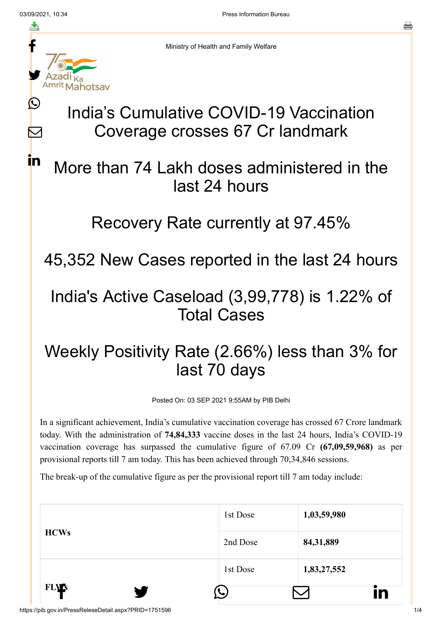≛

 $\bigcirc$ 

 $\sum$ 

<u>in</u>

른



Ministry of Health and Family Welfare

# India's Cumulative COVID-19 Vaccination Coverage crosses 67 Cr landmark

## More than 74 Lakh doses administered in the last 24 hours

#### Recovery Rate currently at 97.45%

45,352 New Cases reported in the last 24 hours

#### India's Active Caseload (3,99,778) is 1.22% of Total Cases

### Weekly Positivity Rate (2.66%) less than 3% for last 70 days

Posted On: 03 SEP 2021 9:55AM by PIB Delhi

In a significant achievement, India's cumulative vaccination coverage has crossed 67 Crore landmark today. With the administration of **74,84,333** vaccine doses in the last 24 hours, India's COVID-19 vaccination coverage has surpassed the cumulative figure of 67.09 Cr **(67,09,59,968)** as per provisional reports till 7 am today. This has been achieved through 70,34,846 sessions.

The break-up of the cumulative figure as per the provisional report till 7 am today include:

| <b>FLV's</b><br>V |          | in          |
|-------------------|----------|-------------|
|                   | 1st Dose | 1,83,27,552 |
| <b>HCWs</b>       | 2nd Dose | 84, 31, 889 |
|                   | 1st Dose | 1,03,59,980 |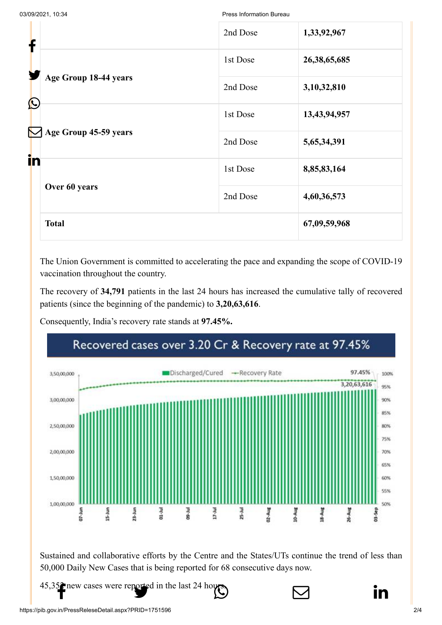03/09/2021, 10:34 Press Information Bureau

| f                                                            | 2nd Dose | 1,33,92,967     |
|--------------------------------------------------------------|----------|-----------------|
| Age Group 18-44 years<br>$\bigcirc$<br>Age Group 45-59 years | 1st Dose | 26, 38, 65, 685 |
|                                                              | 2nd Dose | 3,10,32,810     |
|                                                              | 1st Dose | 13,43,94,957    |
|                                                              | 2nd Dose | 5,65,34,391     |
| in                                                           | 1st Dose | 8,85,83,164     |
| Over 60 years                                                | 2nd Dose | 4,60,36,573     |
| <b>Total</b>                                                 |          | 67,09,59,968    |

The Union Government is committed to accelerating the pace and expanding the scope of COVID-19 vaccination throughout the country.

The recovery of **34,791** patients in the last 24 hours has increased the cumulative tally of recovered patients (since the beginning of the pandemic) to **3,20,63,616**.

Consequently, India's recovery rate stands at **97.45%.**



Sustained and collaborative efforts by the Centre and the States/UTs continue the trend of less than 50,000 Daily New Cases that is being reported for 68 consecutive days now.

[45,352 new cases](http://www.facebook.com/share.php?u=https://pib.gov.in/PressReleasePage.aspx?PRID=1751596) [were reported in the l](https://twitter.com/intent/tweet?url=https://pib.gov.in/PressReleasePage.aspx?PRID=1751596&text=India%E2%80%99s%20Cumulative%20COVID-19%20Vaccination%20Coverage%20crosses%2067%20Cr%20landmark)[ast 24 hours.](https://api.whatsapp.com/send?text=https://pib.gov.in/PressReleasePage.aspx?PRID=1751596)



https://pib.gov.in/PressReleseDetail.aspx?PRID=1751596 2/4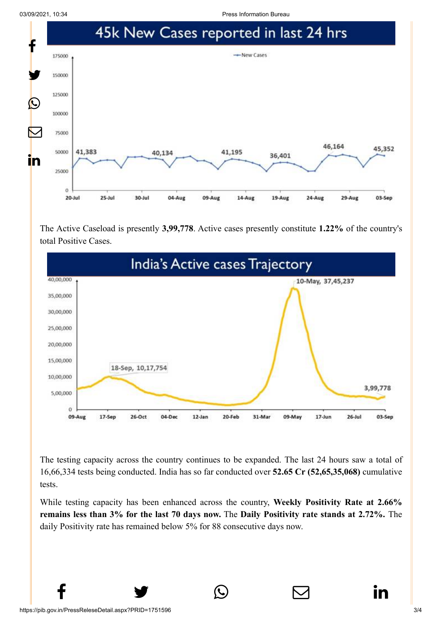03/09/2021, 10:34 Press Information Bureau



The Active Caseload is presently **3,99,778**. Active cases presently constitute **1.22%** of the country's total Positive Cases.



The testing capacity across the country continues to be expanded. The last 24 hours saw a total of 16,66,334 tests being conducted. India has so far conducted over **52.65 Cr (52,65,35,068)** cumulative tests.

While testing capacity has been enhanced across the country, **Weekly Positivity Rate at 2.66% remains less than 3% for the last 70 days now.** The **Daily Positivity rate stands at 2.72%.** The daily Positivity rate has remained below 5% for 88 consecutive days now.

 $f \qquad \qquad \bullet \qquad \circlearrowright \qquad \qquad \circlearrowright \qquad \qquad \bullet$